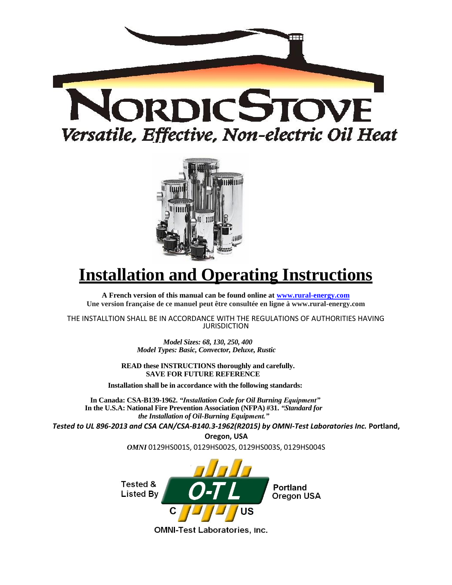



# **Installation and Operating Instructions**

**A French version of this manual can be found online at [www.rural-energy.com](http://www.rural-energy.com/) Une version française de ce manuel peut être consultée en ligne à www.rural-energy.com**

THE INSTALLTION SHALL BE IN ACCORDANCE WITH THE REGULATIONS OF AUTHORITIES HAVING JURISDICTION

> *Model Sizes: 68, 130, 250, 400 Model Types: Basic, Convector, Deluxe, Rustic*

**READ these INSTRUCTIONS thoroughly and carefully. SAVE FOR FUTURE REFERENCE**

**Installation shall be in accordance with the following standards:**

**In Canada: CSA-B139-1962.** *"Installation Code for Oil Burning Equipment"*  **In the U.S.A: National Fire Prevention Association (NFPA) #31.** *"Standard for the Installation of Oil-Burning Equipment."*

*Tested to UL 896-2013 and CSA CAN/CSA-B140.3-1962(R2015) by OMNI-Test Laboratories Inc.* **Portland,** 

**Oregon, USA** *OMNI* 0129HS001S, 0129HS002S, 0129HS003S, 0129HS004S



**OMNI-Test Laboratories, Inc.**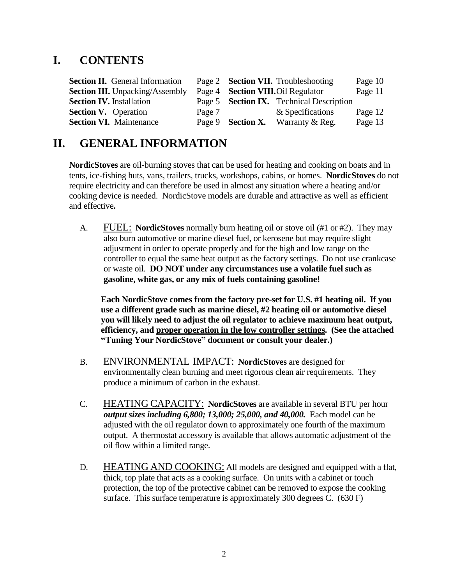# **I. CONTENTS**

| <b>Section II.</b> General Information | Page 2 <b>Section VII.</b> Troubleshooting<br>Page 10 |
|----------------------------------------|-------------------------------------------------------|
| <b>Section III.</b> Unpacking/Assembly | Page 4 <b>Section VIII.</b> Oil Regulator<br>Page 11  |
| <b>Section IV.</b> Installation        | Page 5 <b>Section IX.</b> Technical Description       |
| <b>Section V.</b> Operation            | & Specifications<br>Page 12<br>Page 7                 |
| <b>Section VI.</b> Maintenance         | Page 13<br>Page 9 <b>Section X.</b> Warranty & Reg.   |

# **II. GENERAL INFORMATION**

**NordicStoves** are oil-burning stoves that can be used for heating and cooking on boats and in tents, ice-fishing huts, vans, trailers, trucks, workshops, cabins, or homes. **NordicStoves** do not require electricity and can therefore be used in almost any situation where a heating and/or cooking device is needed. NordicStove models are durable and attractive as well as efficient and effective**.**

A. FUEL: **NordicStoves** normally burn heating oil or stove oil (#1 or #2). They may also burn automotive or marine diesel fuel, or kerosene but may require slight adjustment in order to operate properly and for the high and low range on the controller to equal the same heat output as the factory settings. Do not use crankcase or waste oil. **DO NOT under any circumstances use a volatile fuel such as gasoline, white gas, or any mix of fuels containing gasoline!**

**Each NordicStove comes from the factory pre-set for U.S. #1 heating oil. If you use a different grade such as marine diesel, #2 heating oil or automotive diesel you will likely need to adjust the oil regulator to achieve maximum heat output, efficiency, and proper operation in the low controller settings. (See the attached "Tuning Your NordicStove" document or consult your dealer.)**

- B. ENVIRONMENTAL IMPACT: **NordicStoves** are designed for environmentally clean burning and meet rigorous clean air requirements. They produce a minimum of carbon in the exhaust.
- C. HEATING CAPACITY: **NordicStoves** are available in several BTU per hour *output sizes including 6,800; 13,000; 25,000, and 40,000.* Each model can be adjusted with the oil regulator down to approximately one fourth of the maximum output. A thermostat accessory is available that allows automatic adjustment of the oil flow within a limited range.
- D. HEATING AND COOKING: All models are designed and equipped with a flat, thick, top plate that acts as a cooking surface. On units with a cabinet or touch protection, the top of the protective cabinet can be removed to expose the cooking surface. This surface temperature is approximately 300 degrees C. (630 F)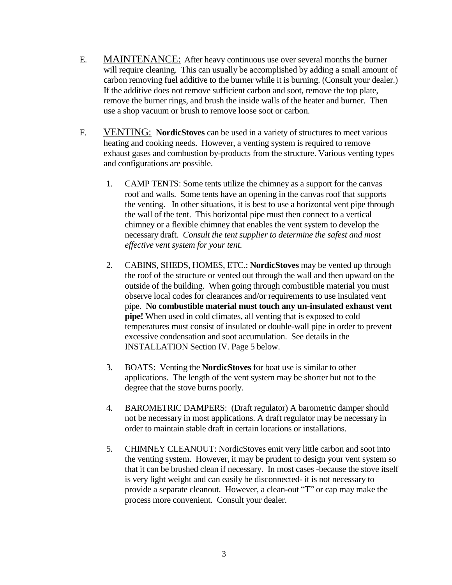- E. MAINTENANCE: After heavy continuous use over several months the burner will require cleaning. This can usually be accomplished by adding a small amount of carbon removing fuel additive to the burner while it is burning. (Consult your dealer.) If the additive does not remove sufficient carbon and soot, remove the top plate, remove the burner rings, and brush the inside walls of the heater and burner. Then use a shop vacuum or brush to remove loose soot or carbon.
- F. VENTING: **NordicStoves** can be used in a variety of structures to meet various heating and cooking needs. However, a venting system is required to remove exhaust gases and combustion by-products from the structure. Various venting types and configurations are possible.
	- 1. CAMP TENTS: Some tents utilize the chimney as a support for the canvas roof and walls. Some tents have an opening in the canvas roof that supports the venting. In other situations, it is best to use a horizontal vent pipe through the wall of the tent. This horizontal pipe must then connect to a vertical chimney or a flexible chimney that enables the vent system to develop the necessary draft. *Consult the tent supplier to determine the safest and most effective vent system for your tent.*
	- 2. CABINS, SHEDS, HOMES, ETC.: **NordicStoves** may be vented up through the roof of the structure or vented out through the wall and then upward on the outside of the building. When going through combustible material you must observe local codes for clearances and/or requirements to use insulated vent pipe. **No combustible material must touch any un-insulated exhaust vent pipe!** When used in cold climates, all venting that is exposed to cold temperatures must consist of insulated or double-wall pipe in order to prevent excessive condensation and soot accumulation. See details in the INSTALLATION Section IV. Page 5 below.
	- 3. BOATS: Venting the **NordicStoves** for boat use is similar to other applications. The length of the vent system may be shorter but not to the degree that the stove burns poorly.
	- 4. BAROMETRIC DAMPERS: (Draft regulator) A barometric damper should not be necessary in most applications. A draft regulator may be necessary in order to maintain stable draft in certain locations or installations.
	- 5. CHIMNEY CLEANOUT: NordicStoves emit very little carbon and soot into the venting system. However, it may be prudent to design your vent system so that it can be brushed clean if necessary. In most cases -because the stove itself is very light weight and can easily be disconnected- it is not necessary to provide a separate cleanout. However, a clean-out "T" or cap may make the process more convenient. Consult your dealer.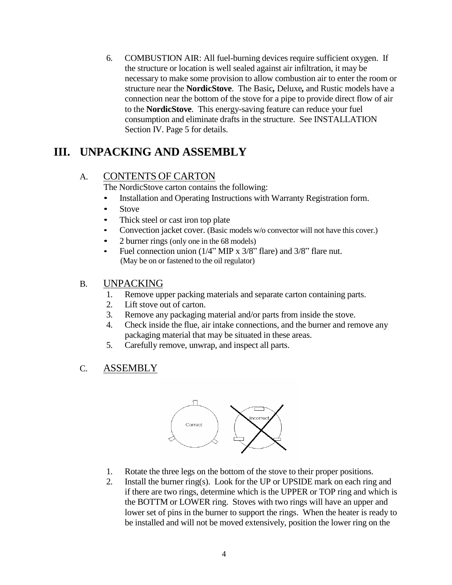6. COMBUSTION AIR: All fuel-burning devices require sufficient oxygen. If the structure or location is well sealed against air infiltration, it may be necessary to make some provision to allow combustion air to enter the room or structure near the **NordicStove**. The Basic*,* Deluxe*,* and Rustic models have a connection near the bottom of the stove for a pipe to provide direct flow of air to the **NordicStove**. This energy-saving feature can reduce your fuel consumption and eliminate drafts in the structure. See INSTALLATION Section IV. Page 5 for details.

# **III. UNPACKING AND ASSEMBLY**

### A. CONTENTS OF CARTON

The NordicStove carton contains the following:

- Installation and Operating Instructions with Warranty Registration form.
- Stove
- Thick steel or cast iron top plate
- Convection jacket cover. (Basic models w/o convector will not have this cover.)
- 2 burner rings (only one in the 68 models)
- Fuel connection union (1/4" MIP x 3/8" flare) and 3/8" flare nut. (May be on or fastened to the oil regulator)

#### B. UNPACKING

- 1. Remove upper packing materials and separate carton containing parts.
- 2. Lift stove out of carton.
- 3. Remove any packaging material and/or parts from inside the stove.
- 4. Check inside the flue, air intake connections, and the burner and remove any packaging material that may be situated in these areas.
- 5. Carefully remove, unwrap, and inspect all parts.
- C. ASSEMBLY



- 1. Rotate the three legs on the bottom of the stove to their proper positions.
- 2. Install the burner ring(s). Look for the UP or UPSIDE mark on each ring and if there are two rings, determine which is the UPPER or TOP ring and which is the BOTTM or LOWER ring. Stoves with two rings will have an upper and lower set of pins in the burner to support the rings. When the heater is ready to be installed and will not be moved extensively, position the lower ring on the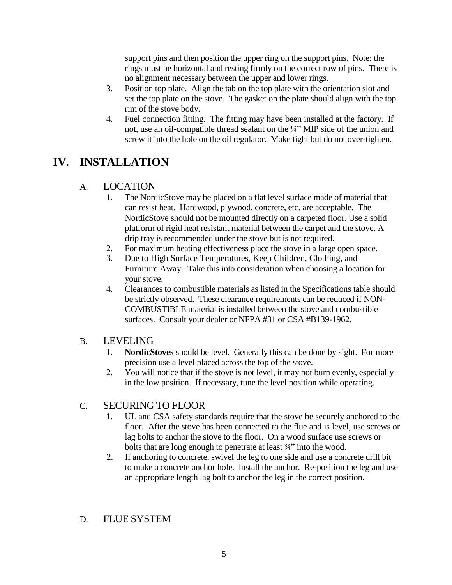support pins and then position the upper ring on the support pins. Note: the rings must be horizontal and resting firmly on the correct row of pins. There is no alignment necessary between the upper and lower rings.

- 3. Position top plate. Align the tab on the top plate with the orientation slot and set the top plate on the stove. The gasket on the plate should align with the top rim of the stove body.
- 4. Fuel connection fitting. The fitting may have been installed at the factory. If not, use an oil-compatible thread sealant on the ¼" MIP side of the union and screw it into the hole on the oil regulator. Make tight but do not over-tighten.

# **IV. INSTALLATION**

### A. LOCATION

- 1. The NordicStove may be placed on a flat level surface made of material that can resist heat. Hardwood, plywood, concrete, etc. are acceptable. The NordicStove should not be mounted directly on a carpeted floor. Use a solid platform of rigid heat resistant material between the carpet and the stove. A drip tray is recommended under the stove but is not required.
- 2. For maximum heating effectiveness place the stove in a large open space.
- 3. Due to High Surface Temperatures, Keep Children, Clothing, and Furniture Away. Take this into consideration when choosing a location for your stove.
- 4. Clearances to combustible materials as listed in the Specifications table should be strictly observed. These clearance requirements can be reduced if NON-COMBUSTIBLE material is installed between the stove and combustible surfaces. Consult your dealer or NFPA #31 or CSA #B139-1962.

### B. LEVELING

- 1. **NordicStoves** should be level. Generally this can be done by sight. For more precision use a level placed across the top of the stove.
- 2. You will notice that if the stove is not level, it may not burn evenly, especially in the low position. If necessary, tune the level position while operating.

### C. SECURING TO FLOOR

- 1. UL and CSA safety standards require that the stove be securely anchored to the floor. After the stove has been connected to the flue and is level, use screws or lag bolts to anchor the stove to the floor. On a wood surface use screws or bolts that are long enough to penetrate at least 3/4" into the wood.
- 2. If anchoring to concrete, swivel the leg to one side and use a concrete drill bit to make a concrete anchor hole. Install the anchor. Re-position the leg and use an appropriate length lag bolt to anchor the leg in the correct position.

### D. FLUE SYSTEM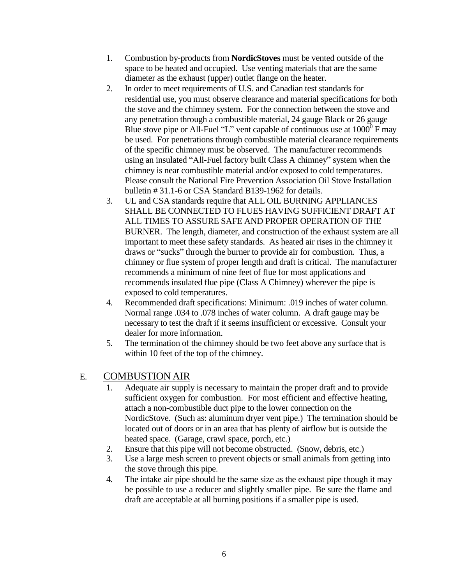- 1. Combustion by-products from **NordicStoves** must be vented outside of the space to be heated and occupied. Use venting materials that are the same diameter as the exhaust (upper) outlet flange on the heater.
- 2. In order to meet requirements of U.S. and Canadian test standards for residential use, you must observe clearance and material specifications for both the stove and the chimney system. For the connection between the stove and any penetration through a combustible material, 24 gauge Black or 26 gauge Blue stove pipe or All-Fuel "L" vent capable of continuous use at  $1000^{\circ}$  F may be used. For penetrations through combustible material clearance requirements of the specific chimney must be observed. The manufacturer recommends using an insulated "All-Fuel factory built Class A chimney" system when the chimney is near combustible material and/or exposed to cold temperatures. Please consult the National Fire Prevention Association Oil Stove Installation bulletin # 31.1-6 or CSA Standard B139-1962 for details.
- 3. UL and CSA standards require that ALL OIL BURNING APPLIANCES SHALL BE CONNECTED TO FLUES HAVING SUFFICIENT DRAFT AT ALL TIMES TO ASSURE SAFE AND PROPER OPERATION OF THE BURNER. The length, diameter, and construction of the exhaust system are all important to meet these safety standards. As heated air rises in the chimney it draws or "sucks" through the burner to provide air for combustion. Thus, a chimney or flue system of proper length and draft is critical. The manufacturer recommends a minimum of nine feet of flue for most applications and recommends insulated flue pipe (Class A Chimney) wherever the pipe is exposed to cold temperatures.
- 4. Recommended draft specifications: Minimum: .019 inches of water column. Normal range .034 to .078 inches of water column. A draft gauge may be necessary to test the draft if it seems insufficient or excessive. Consult your dealer for more information.
- 5. The termination of the chimney should be two feet above any surface that is within 10 feet of the top of the chimney.

### E. COMBUSTION AIR

- 1. Adequate air supply is necessary to maintain the proper draft and to provide sufficient oxygen for combustion. For most efficient and effective heating, attach a non-combustible duct pipe to the lower connection on the NordicStove. (Such as: aluminum dryer vent pipe.) The termination should be located out of doors or in an area that has plenty of airflow but is outside the heated space. (Garage, crawl space, porch, etc.)
- 2. Ensure that this pipe will not become obstructed. (Snow, debris, etc.)
- 3. Use a large mesh screen to prevent objects or small animals from getting into the stove through this pipe.
- 4. The intake air pipe should be the same size as the exhaust pipe though it may be possible to use a reducer and slightly smaller pipe. Be sure the flame and draft are acceptable at all burning positions if a smaller pipe is used.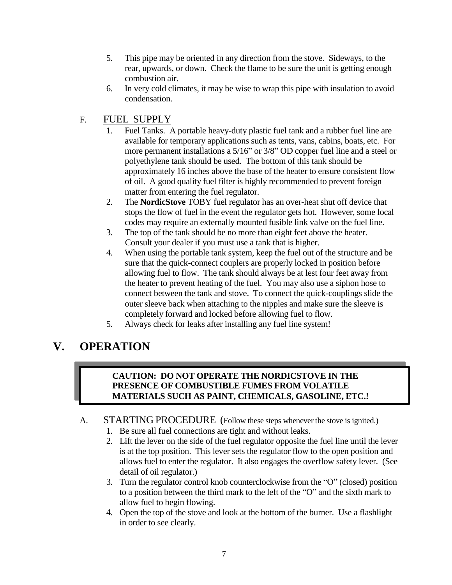- 5. This pipe may be oriented in any direction from the stove. Sideways, to the rear, upwards, or down. Check the flame to be sure the unit is getting enough combustion air.
- 6. In very cold climates, it may be wise to wrap this pipe with insulation to avoid condensation.

### F. FUEL SUPPLY

- 1. Fuel Tanks. A portable heavy-duty plastic fuel tank and a rubber fuel line are available for temporary applications such as tents, vans, cabins, boats, etc. For more permanent installations a 5/16" or 3/8" OD copper fuel line and a steel or polyethylene tank should be used. The bottom of this tank should be approximately 16 inches above the base of the heater to ensure consistent flow of oil. A good quality fuel filter is highly recommended to prevent foreign matter from entering the fuel regulator.
- 2. The **NordicStove** TOBY fuel regulator has an over-heat shut off device that stops the flow of fuel in the event the regulator gets hot. However, some local codes may require an externally mounted fusible link valve on the fuel line.
- 3. The top of the tank should be no more than eight feet above the heater. Consult your dealer if you must use a tank that is higher.
- 4. When using the portable tank system, keep the fuel out of the structure and be sure that the quick-connect couplers are properly locked in position before allowing fuel to flow. The tank should always be at lest four feet away from the heater to prevent heating of the fuel. You may also use a siphon hose to connect between the tank and stove. To connect the quick-couplings slide the outer sleeve back when attaching to the nipples and make sure the sleeve is completely forward and locked before allowing fuel to flow.
- 5. Always check for leaks after installing any fuel line system!

# **V. OPERATION**

#### **CAUTION: DO NOT OPERATE THE NORDICSTOVE IN THE PRESENCE OF COMBUSTIBLE FUMES FROM VOLATILE MATERIALS SUCH AS PAINT, CHEMICALS, GASOLINE, ETC.!**

#### A. STARTING PROCEDURE (Follow these steps whenever the stove is ignited.)

- 1. Be sure all fuel connections are tight and without leaks.
- 2. Lift the lever on the side of the fuel regulator opposite the fuel line until the lever is at the top position. This lever sets the regulator flow to the open position and allows fuel to enter the regulator. It also engages the overflow safety lever. (See detail of oil regulator.)
- 3. Turn the regulator control knob counterclockwise from the "O" (closed) position to a position between the third mark to the left of the "O" and the sixth mark to allow fuel to begin flowing.
- 4. Open the top of the stove and look at the bottom of the burner. Use a flashlight in order to see clearly.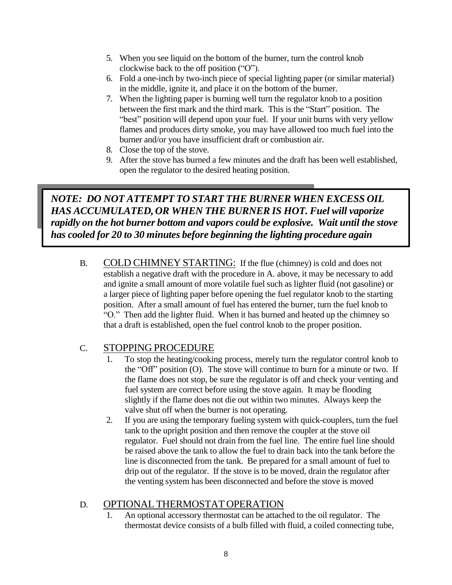- 5. When you see liquid on the bottom of the burner, turn the control knob clockwise back to the off position ("O").
- 6. Fold a one-inch by two-inch piece of special lighting paper (or similar material) in the middle, ignite it, and place it on the bottom of the burner.
- 7. When the lighting paper is burning well turn the regulator knob to a position between the first mark and the third mark. This is the "Start" position. The "best" position will depend upon your fuel. If your unit burns with very yellow flames and produces dirty smoke, you may have allowed too much fuel into the burner and/or you have insufficient draft or combustion air.
- 8. Close the top of the stove.
- 9. After the stove has burned a few minutes and the draft has been well established, open the regulator to the desired heating position.

### *NOTE: DO NOT ATTEMPT TO START THE BURNER WHEN EXCESS OIL HAS ACCUMULATED, OR WHEN THE BURNER IS HOT. Fuel will vaporize rapidly on the hot burner bottom and vapors could be explosive. Wait until the stove has cooled for 20 to 30 minutes before beginning the lighting procedure again*

B. COLD CHIMNEY STARTING: If the flue (chimney) is cold and does not establish a negative draft with the procedure in A. above, it may be necessary to add and ignite a small amount of more volatile fuel such as lighter fluid (not gasoline) or a larger piece of lighting paper before opening the fuel regulator knob to the starting position. After a small amount of fuel has entered the burner, turn the fuel knob to "O." Then add the lighter fluid. When it has burned and heated up the chimney so that a draft is established, open the fuel control knob to the proper position.

### C. STOPPING PROCEDURE

- 1. To stop the heating/cooking process, merely turn the regulator control knob to the "Off" position (O). The stove will continue to burn for a minute or two. If the flame does not stop, be sure the regulator is off and check your venting and fuel system are correct before using the stove again. It may be flooding slightly if the flame does not die out within two minutes. Always keep the valve shut off when the burner is not operating.
- 2. If you are using the temporary fueling system with quick-couplers, turn the fuel tank to the upright position and then remove the coupler at the stove oil regulator. Fuel should not drain from the fuel line. The entire fuel line should be raised above the tank to allow the fuel to drain back into the tank before the line is disconnected from the tank. Be prepared for a small amount of fuel to drip out of the regulator. If the stove is to be moved, drain the regulator after the venting system has been disconnected and before the stove is moved

### D. OPTIONAL THERMOSTAT OPERATION

1. An optional accessory thermostat can be attached to the oil regulator. The thermostat device consists of a bulb filled with fluid, a coiled connecting tube,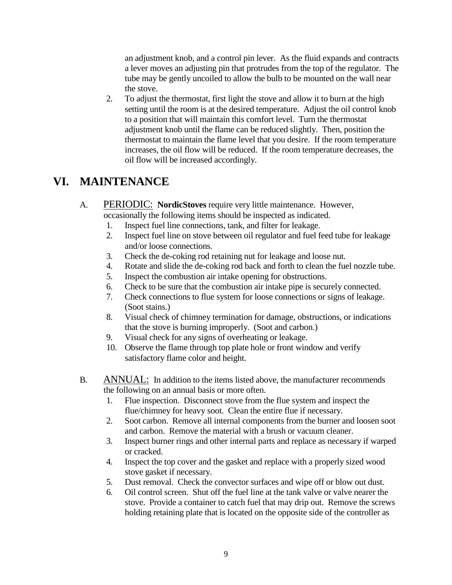an adjustment knob, and a control pin lever. As the fluid expands and contracts a lever moves an adjusting pin that protrudes from the top of the regulator. The tube may be gently uncoiled to allow the bulb to be mounted on the wall near the stove.

2. To adjust the thermostat, first light the stove and allow it to burn at the high setting until the room is at the desired temperature. Adjust the oil control knob to a position that will maintain this comfort level. Turn the thermostat adjustment knob until the flame can be reduced slightly. Then, position the thermostat to maintain the flame level that you desire. If the room temperature increases, the oil flow will be reduced. If the room temperature decreases, the oil flow will be increased accordingly.

# **VI. MAINTENANCE**

- A. PERIODIC: **NordicStoves** require very little maintenance. However, occasionally the following items should be inspected as indicated.
	- 1. Inspect fuel line connections, tank, and filter for leakage.
	- 2. Inspect fuel line on stove between oil regulator and fuel feed tube for leakage and/or loose connections.
	- 3. Check the de-coking rod retaining nut for leakage and loose nut.
	- 4. Rotate and slide the de-coking rod back and forth to clean the fuel nozzle tube.
	- 5. Inspect the combustion air intake opening for obstructions.
	- 6. Check to be sure that the combustion air intake pipe is securely connected.
	- 7. Check connections to flue system for loose connections or signs of leakage. (Soot stains.)
	- 8. Visual check of chimney termination for damage, obstructions, or indications that the stove is burning improperly. (Soot and carbon.)
	- 9. Visual check for any signs of overheating or leakage.
	- 10. Observe the flame through top plate hole or front window and verify satisfactory flame color and height.
- B. ANNUAL: In addition to the items listed above, the manufacturer recommends the following on an annual basis or more often.
	- 1. Flue inspection. Disconnect stove from the flue system and inspect the flue/chimney for heavy soot. Clean the entire flue if necessary.
	- 2. Soot carbon. Remove all internal components from the burner and loosen soot and carbon. Remove the material with a brush or vacuum cleaner.
	- 3. Inspect burner rings and other internal parts and replace as necessary if warped or cracked.
	- 4. Inspect the top cover and the gasket and replace with a properly sized wood stove gasket if necessary.
	- 5. Dust removal. Check the convector surfaces and wipe off or blow out dust.
	- 6. Oil control screen. Shut off the fuel line at the tank valve or valve nearer the stove. Provide a container to catch fuel that may drip out. Remove the screws holding retaining plate that is located on the opposite side of the controller as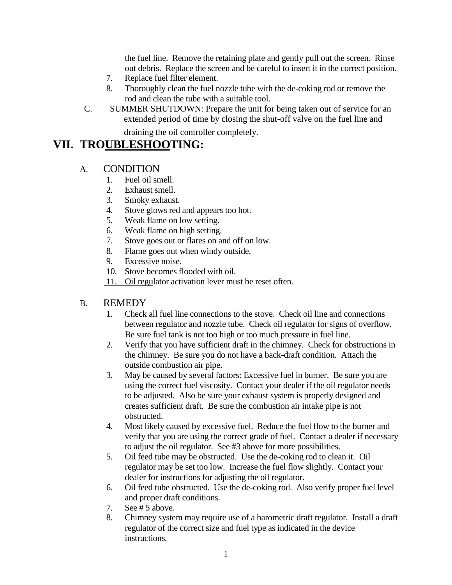the fuel line. Remove the retaining plate and gently pull out the screen. Rinse out debris. Replace the screen and be careful to insert it in the correct position.

- 7. Replace fuel filter element.
- 8. Thoroughly clean the fuel nozzle tube with the de-coking rod or remove the rod and clean the tube with a suitable tool.
- C. SUMMER SHUTDOWN: Prepare the unit for being taken out of service for an extended period of time by closing the shut-off valve on the fuel line and

draining the oil controller completely.

## **VII. TROUBLESHOOTING:**

#### A. CONDITION

- 1. Fuel oil smell.
- 2. Exhaust smell.
- 3. Smoky exhaust.
- 4. Stove glows red and appears too hot.
- 5. Weak flame on low setting.
- 6. Weak flame on high setting.
- 7. Stove goes out or flares on and off on low.
- 8. Flame goes out when windy outside.
- 9. Excessive noise.
- 10. Stove becomes flooded with oil.
- 11. Oil regulator activation lever must be reset often.

#### B. REMEDY

- 1. Check all fuel line connections to the stove. Check oil line and connections between regulator and nozzle tube. Check oil regulator for signs of overflow. Be sure fuel tank is not too high or too much pressure in fuel line.
- 2. Verify that you have sufficient draft in the chimney. Check for obstructions in the chimney. Be sure you do not have a back-draft condition. Attach the outside combustion air pipe.
- 3. May be caused by several factors: Excessive fuel in burner. Be sure you are using the correct fuel viscosity. Contact your dealer if the oil regulator needs to be adjusted. Also be sure your exhaust system is properly designed and creates sufficient draft. Be sure the combustion air intake pipe is not obstructed.
- 4. Most likely caused by excessive fuel. Reduce the fuel flow to the burner and verify that you are using the correct grade of fuel. Contact a dealer if necessary to adjust the oil regulator. See #3 above for more possibilities.
- 5. Oil feed tube may be obstructed. Use the de-coking rod to clean it. Oil regulator may be set too low. Increase the fuel flow slightly. Contact your dealer for instructions for adjusting the oil regulator.
- 6. Oil feed tube obstructed. Use the de-coking rod. Also verify proper fuel level and proper draft conditions.
- 7. See # 5 above.
- 8. Chimney system may require use of a barometric draft regulator. Install a draft regulator of the correct size and fuel type as indicated in the device instructions.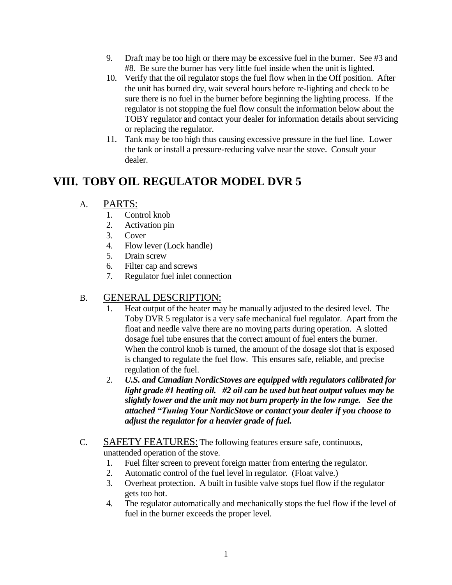- 9. Draft may be too high or there may be excessive fuel in the burner. See #3 and #8. Be sure the burner has very little fuel inside when the unit is lighted.
- 10. Verify that the oil regulator stops the fuel flow when in the Off position. After the unit has burned dry, wait several hours before re-lighting and check to be sure there is no fuel in the burner before beginning the lighting process. If the regulator is not stopping the fuel flow consult the information below about the TOBY regulator and contact your dealer for information details about servicing or replacing the regulator.
- 11. Tank may be too high thus causing excessive pressure in the fuel line. Lower the tank or install a pressure-reducing valve near the stove. Consult your dealer.

# **VIII. TOBY OIL REGULATOR MODEL DVR 5**

- A. PARTS:
	- 1. Control knob
	- 2. Activation pin
	- 3. Cover
	- 4. Flow lever (Lock handle)
	- 5. Drain screw
	- 6. Filter cap and screws
	- 7. Regulator fuel inlet connection

### B. GENERAL DESCRIPTION:

- 1. Heat output of the heater may be manually adjusted to the desired level. The Toby DVR 5 regulator is a very safe mechanical fuel regulator. Apart from the float and needle valve there are no moving parts during operation. A slotted dosage fuel tube ensures that the correct amount of fuel enters the burner. When the control knob is turned, the amount of the dosage slot that is exposed is changed to regulate the fuel flow. This ensures safe, reliable, and precise regulation of the fuel.
- 2. *U.S. and Canadian NordicStoves are equipped with regulators calibrated for light grade #1 heating oil. #2 oil can be used but heat output values may be slightly lower and the unit may not burn properly in the low range. See the attached "Tuning Your NordicStove or contact your dealer if you choose to adjust the regulator for a heavier grade of fuel.*
- C. SAFETY FEATURES: The following features ensure safe, continuous, unattended operation of the stove.
	- 1. Fuel filter screen to prevent foreign matter from entering the regulator.
	- 2. Automatic control of the fuel level in regulator. (Float valve.)
	- 3. Overheat protection. A built in fusible valve stops fuel flow if the regulator gets too hot.
	- 4. The regulator automatically and mechanically stops the fuel flow if the level of fuel in the burner exceeds the proper level.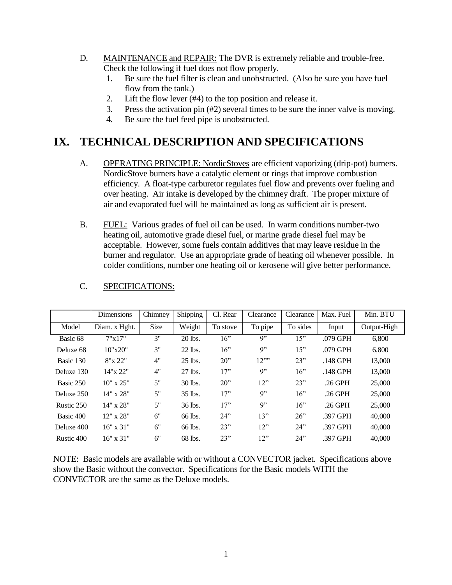- D. MAINTENANCE and REPAIR: The DVR is extremely reliable and trouble-free. Check the following if fuel does not flow properly.
	- 1. Be sure the fuel filter is clean and unobstructed. (Also be sure you have fuel flow from the tank.)
	- 2. Lift the flow lever (#4) to the top position and release it.
	- 3. Press the activation pin (#2) several times to be sure the inner valve is moving.
	- 4. Be sure the fuel feed pipe is unobstructed.

# **IX. TECHNICAL DESCRIPTION AND SPECIFICATIONS**

- A. OPERATING PRINCIPLE: NordicStoves are efficient vaporizing (drip-pot) burners. NordicStove burners have a catalytic element or rings that improve combustion efficiency. A float-type carburetor regulates fuel flow and prevents over fueling and over heating. Air intake is developed by the chimney draft. The proper mixture of air and evaporated fuel will be maintained as long as sufficient air is present.
- B. FUEL: Various grades of fuel oil can be used. In warm conditions number-two heating oil, automotive grade diesel fuel, or marine grade diesel fuel may be acceptable. However, some fuels contain additives that may leave residue in the burner and regulator. Use an appropriate grade of heating oil whenever possible. In colder conditions, number one heating oil or kerosene will give better performance.

|            | <b>Dimensions</b> | Chimney | Shipping  | Cl. Rear | Clearance            | Clearance | Max. Fuel  | Min. BTU    |
|------------|-------------------|---------|-----------|----------|----------------------|-----------|------------|-------------|
| Model      | Diam. x Hght.     | Size    | Weight    | To stove | To pipe              | To sides  | Input      | Output-High |
| Basic 68   | 7"x17"            | 3"      | 20 lbs.   | 16"      | Q''                  | 15"       | .079 GPH   | 6.800       |
| Deluxe 68  | 10"x20"           | 3"      | 22 lbs.   | 16"      | 9"                   | 15"       | .079 GPH   | 6.800       |
| Basic 130  | 8"x 22"           | 4"      | $25$ lbs. | 20"      | $12$ <sup>2222</sup> | 23"       | .148 GPH   | 13,000      |
| Deluxe 130 | 14"x 22"          | 4"      | $27$ lbs. | 17"      | 9"                   | 16"       | $.148$ GPH | 13,000      |
| Basic 250  | $10" \times 25"$  | 5"      | 30 lbs.   | 20"      | 12"                  | 23"       | $.26$ GPH  | 25,000      |
| Deluxe 250 | $14"$ x $28"$     | 5"      | $35$ lbs. | 17"      | Q''                  | 16"       | $.26$ GPH  | 25,000      |
| Rustic 250 | $14"$ x $28"$     | 5"      | 36 lbs.   | 17"      | 9"                   | 16"       | $.26$ GPH  | 25,000      |
| Basic 400  | $12"$ x $28"$     | 6"      | 66 lbs.   | 24"      | 13"                  | $26$ "    | .397 GPH   | 40,000      |
| Deluxe 400 | $16" \times 31"$  | 6"      | 66 lbs.   | 23"      | 12"                  | 24"       | .397 GPH   | 40,000      |
| Rustic 400 | $16" \times 31"$  | 6"      | 68 lbs.   | 23"      | 12"                  | 24"       | .397 GPH   | 40,000      |

#### C. SPECIFICATIONS:

NOTE: Basic models are available with or without a CONVECTOR jacket. Specifications above show the Basic without the convector. Specifications for the Basic models WITH the CONVECTOR are the same as the Deluxe models.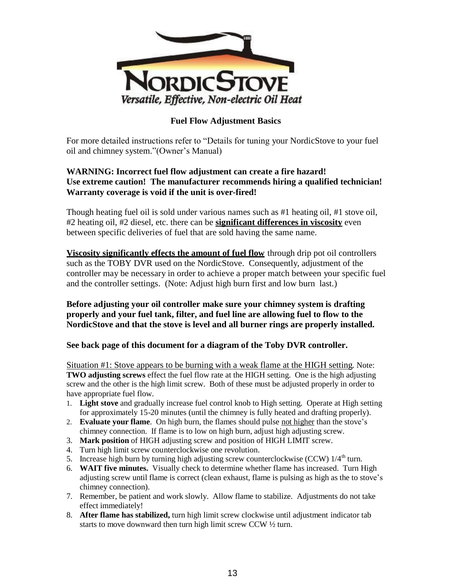

#### **Fuel Flow Adjustment Basics**

For more detailed instructions refer to "Details for tuning your NordicStove to your fuel oil and chimney system."(Owner's Manual)

#### **WARNING: Incorrect fuel flow adjustment can create a fire hazard! Use extreme caution! The manufacturer recommends hiring a qualified technician! Warranty coverage is void if the unit is over-fired!**

Though heating fuel oil is sold under various names such as #1 heating oil, #1 stove oil, #2 heating oil, #2 diesel, etc. there can be **significant differences in viscosity** even between specific deliveries of fuel that are sold having the same name.

**Viscosity significantly effects the amount of fuel flow** through drip pot oil controllers such as the TOBY DVR used on the NordicStove. Consequently, adjustment of the controller may be necessary in order to achieve a proper match between your specific fuel and the controller settings. (Note: Adjust high burn first and low burn last.)

#### **Before adjusting your oil controller make sure your chimney system is drafting properly and your fuel tank, filter, and fuel line are allowing fuel to flow to the NordicStove and that the stove is level and all burner rings are properly installed.**

#### **See back page of this document for a diagram of the Toby DVR controller.**

Situation #1: Stove appears to be burning with a weak flame at the HIGH setting. Note: **TWO adjusting screws** effect the fuel flow rate at the HIGH setting. One is the high adjusting screw and the other is the high limit screw. Both of these must be adjusted properly in order to have appropriate fuel flow.

- 1. **Light stove** and gradually increase fuel control knob to High setting. Operate at High setting for approximately 15-20 minutes (until the chimney is fully heated and drafting properly).
- 2. **Evaluate your flame**. On high burn, the flames should pulse not higher than the stove's chimney connection. If flame is to low on high burn, adjust high adjusting screw.
- 3. **Mark position** of HIGH adjusting screw and position of HIGH LIMIT screw.
- 4. Turn high limit screw counterclockwise one revolution.
- 5. Increase high burn by turning high adjusting screw counterclockwise (CCW)  $1/4<sup>th</sup>$  turn.
- 6. **WAIT five minutes.** Visually check to determine whether flame has increased. Turn High adjusting screw until flame is correct (clean exhaust, flame is pulsing as high as the to stove's chimney connection).
- 7. Remember, be patient and work slowly. Allow flame to stabilize. Adjustments do not take effect immediately!
- 8. **After flame has stabilized,** turn high limit screw clockwise until adjustment indicator tab starts to move downward then turn high limit screw CCW ½ turn.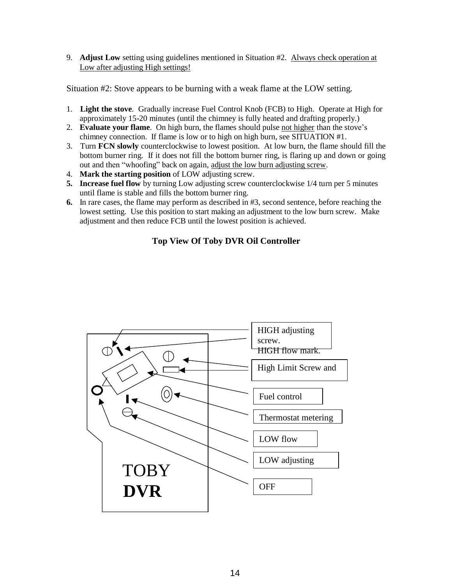9. **Adjust Low** setting using guidelines mentioned in Situation #2. Always check operation at Low after adjusting High settings!

Situation #2: Stove appears to be burning with a weak flame at the LOW setting.

- 1. **Light the stove**. Gradually increase Fuel Control Knob (FCB) to High. Operate at High for approximately 15-20 minutes (until the chimney is fully heated and drafting properly.)
- 2. **Evaluate your flame**. On high burn, the flames should pulse not higher than the stove's chimney connection. If flame is low or to high on high burn, see SITUATION #1.
- 3. Turn **FCN slowly** counterclockwise to lowest position. At low burn, the flame should fill the bottom burner ring. If it does not fill the bottom burner ring, is flaring up and down or going out and then "whoofing" back on again, adjust the low burn adjusting screw.
- 4. **Mark the starting position** of LOW adjusting screw.
- **5. Increase fuel flow** by turning Low adjusting screw counterclockwise 1/4 turn per 5 minutes until flame is stable and fills the bottom burner ring.
- **6.** In rare cases, the flame may perform as described in #3, second sentence, before reaching the lowest setting. Use this position to start making an adjustment to the low burn screw. Make adjustment and then reduce FCB until the lowest position is achieved.

#### **Top View Of Toby DVR Oil Controller**

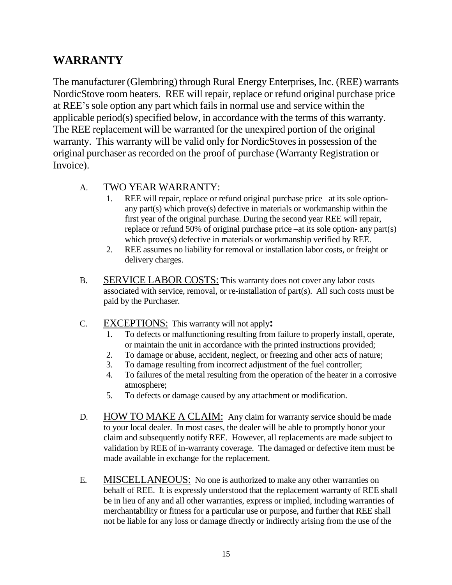# **WARRANTY**

The manufacturer (Glembring) through Rural Energy Enterprises, Inc. (REE) warrants NordicStove room heaters. REE will repair, replace or refund original purchase price at REE's sole option any part which fails in normal use and service within the applicable period(s) specified below, in accordance with the terms of this warranty. The REE replacement will be warranted for the unexpired portion of the original warranty. This warranty will be valid only for NordicStovesin possession of the original purchaser as recorded on the proof of purchase (Warranty Registration or Invoice).

### A. TWO YEAR WARRANTY:

- 1. REE will repair, replace or refund original purchase price –at its sole optionany part(s) which prove(s) defective in materials or workmanship within the first year of the original purchase. During the second year REE will repair, replace or refund 50% of original purchase price –at its sole option- any part(s) which prove(s) defective in materials or workmanship verified by REE.
- 2. REE assumes no liability for removal or installation labor costs, or freight or delivery charges.
- B. SERVICE LABOR COSTS: This warranty does not cover any labor costs associated with service, removal, or re-installation of part(s). All such costs must be paid by the Purchaser.
- C. EXCEPTIONS: This warranty will not apply**:**
	- 1. To defects or malfunctioning resulting from failure to properly install, operate, or maintain the unit in accordance with the printed instructions provided;
	- 2. To damage or abuse, accident, neglect, or freezing and other acts of nature;
	- 3. To damage resulting from incorrect adjustment of the fuel controller;
	- 4. To failures of the metal resulting from the operation of the heater in a corrosive atmosphere;
	- 5. To defects or damage caused by any attachment or modification.
- D. HOW TO MAKE A CLAIM: Any claim for warranty service should be made to your local dealer. In most cases, the dealer will be able to promptly honor your claim and subsequently notify REE. However, all replacements are made subject to validation by REE of in-warranty coverage. The damaged or defective item must be made available in exchange for the replacement.
- E. MISCELLANEOUS: No one is authorized to make any other warranties on behalf of REE. It is expressly understood that the replacement warranty of REE shall be in lieu of any and all other warranties, express or implied, including warranties of merchantability or fitness for a particular use or purpose, and further that REE shall not be liable for any loss or damage directly or indirectly arising from the use of the